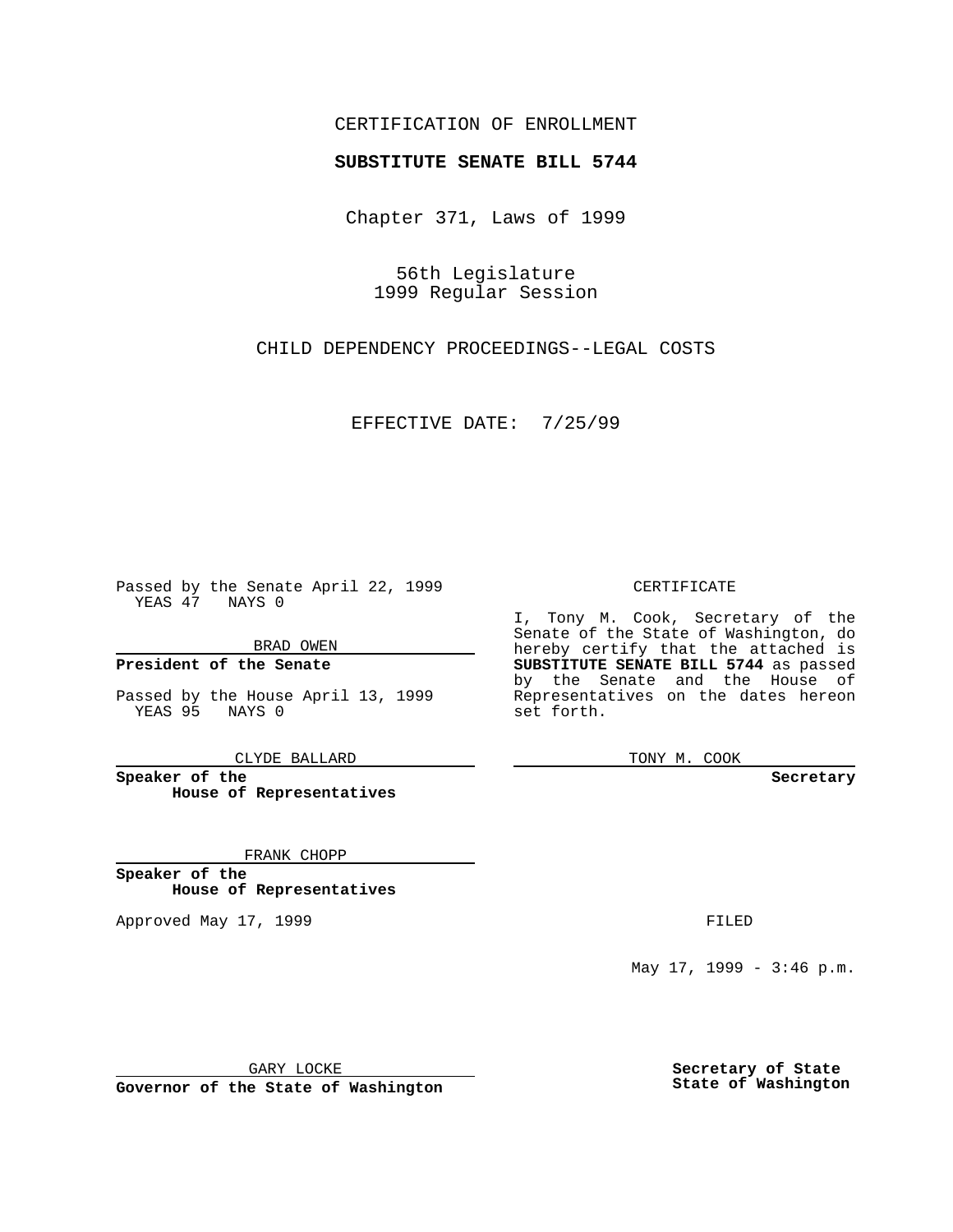## CERTIFICATION OF ENROLLMENT

# **SUBSTITUTE SENATE BILL 5744**

Chapter 371, Laws of 1999

56th Legislature 1999 Regular Session

CHILD DEPENDENCY PROCEEDINGS--LEGAL COSTS

EFFECTIVE DATE: 7/25/99

Passed by the Senate April 22, 1999 YEAS 47 NAYS 0

BRAD OWEN

**President of the Senate**

Passed by the House April 13, 1999 YEAS 95 NAYS 0

CLYDE BALLARD

**Speaker of the House of Representatives**

FRANK CHOPP

**Speaker of the House of Representatives**

Approved May 17, 1999 **FILED** 

CERTIFICATE

I, Tony M. Cook, Secretary of the Senate of the State of Washington, do hereby certify that the attached is **SUBSTITUTE SENATE BILL 5744** as passed by the Senate and the House of Representatives on the dates hereon set forth.

TONY M. COOK

**Secretary**

May 17, 1999 - 3:46 p.m.

GARY LOCKE

**Governor of the State of Washington**

**Secretary of State State of Washington**